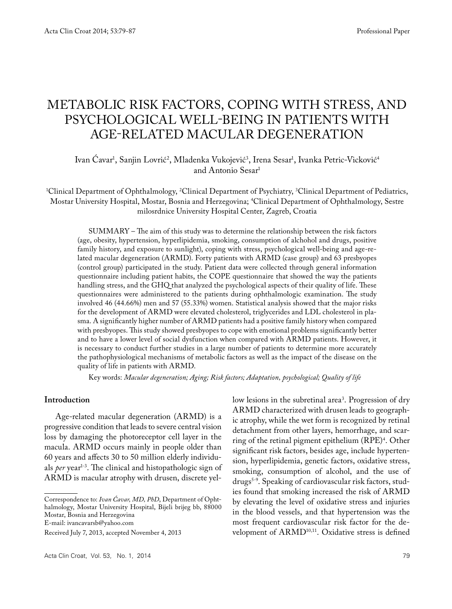# METABOLIC RISK FACTORS, COPING WITH STRESS, AND PSYCHOLOGICAL WELL-BEING IN PATIENTS WITH AGE-RELATED MACULAR DEGENERATION

# lvan Cavar<sup>1</sup>, Sanjin Lovrić<sup>2</sup>, Mladenka Vukojević<sup>3</sup>, Irena Sesar<sup>1</sup>, Ivanka Petric-Vicković<sup>4</sup> and Antonio Sesar<sup>1</sup>

1 Clinical Department of Ophthalmology, 2 Clinical Department of Psychiatry, 3 Clinical Department of Pediatrics, Mostar University Hospital, Mostar, Bosnia and Herzegovina; 4 Clinical Department of Ophthalmology, Sestre milosrdnice University Hospital Center, Zagreb, Croatia

SUMMARY – The aim of this study was to determine the relationship between the risk factors (age, obesity, hypertension, hyperlipidemia, smoking, consumption of alchohol and drugs, positive family history, and exposure to sunlight), coping with stress, psychological well-being and age-related macular degeneration (ARMD). Forty patients with ARMD (case group) and 63 presbyopes (control group) participated in the study. Patient data were collected through general information questionnaire including patient habits, the COPE questionnaire that showed the way the patients handling stress, and the GHQ that analyzed the psychological aspects of their quality of life. These questionnaires were administered to the patients during ophthalmologic examination. The study involved 46 (44.66%) men and 57 (55.33%) women. Statistical analysis showed that the major risks for the development of ARMD were elevated cholesterol, triglycerides and LDL cholesterol in plasma. A significantly higher number of ARMD patients had a positive family history when compared with presbyopes. This study showed presbyopes to cope with emotional problems significantly better and to have a lower level of social dysfunction when compared with ARMD patients. However, it is necessary to conduct further studies in a large number of patients to determine more accurately the pathophysiological mechanisms of metabolic factors as well as the impact of the disease on the quality of life in patients with ARMD.

Key words: *Macular degeneration; Aging; Risk factors; Adaptation, psychological; Quality of life*

## **Introduction**

Age-related macular degeneration (ARMD) is a progressive condition that leads to severe central vision loss by damaging the photoreceptor cell layer in the macula. ARMD occurs mainly in people older than 60 years and affects 30 to 50 million elderly individuals *per* year<sup>1-3</sup>. The clinical and histopathologic sign of ARMD is macular atrophy with drusen, discrete yel-

Correspondence to: *Ivan Ćavar, MD, PhD*, Department of Ophthalmology, Mostar University Hospital, Bijeli brijeg bb, 88000 Mostar, Bosnia and Herzegovina

E-mail: ivancavarsb@yahoo.com

low lesions in the subretinal area<sup>3</sup>. Progression of dry ARMD characterized with drusen leads to geographic atrophy, while the wet form is recognized by retinal detachment from other layers, hemorrhage, and scarring of the retinal pigment epithelium (RPE)<sup>4</sup>. Other significant risk factors, besides age, include hypertension, hyperlipidemia, genetic factors, oxidative stress, smoking, consumption of alcohol, and the use of drugs<sup>5-9</sup>. Speaking of cardiovascular risk factors, studies found that smoking increased the risk of ARMD by elevating the level of oxidative stress and injuries in the blood vessels, and that hypertension was the most frequent cardiovascular risk factor for the development of ARMD<sup>10,11</sup>. Oxidative stress is defined

Received July 7, 2013, accepted November 4, 2013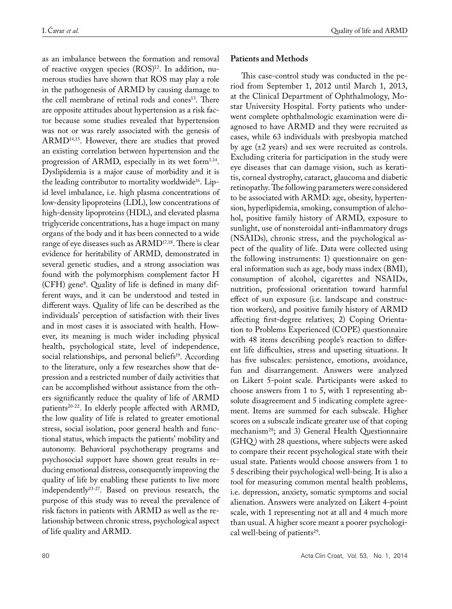as an imbalance between the formation and removal of reactive oxygen species (ROS)<sup>12</sup>. In addition, numerous studies have shown that ROS may play a role in the pathogenesis of ARMD by causing damage to the cell membrane of retinal rods and cones<sup>13</sup>. There are opposite attitudes about hypertension as a risk factor because some studies revealed that hypertension was not or was rarely associated with the genesis of ARMD14,15. However, there are studies that proved an existing correlation between hypertension and the progression of ARMD, especially in its wet form $1,14$ . Dyslipidemia is a major cause of morbidity and it is the leading contributor to mortality worldwide<sup>16</sup>. Lipid level imbalance, i.e. high plasma concentrations of low-density lipoproteins (LDL), low concentrations of high-density lipoproteins (HDL), and elevated plasma triglyceride concentrations, has a huge impact on many organs of the body and it has been connected to a wide range of eye diseases such as ARMD<sup>17,18</sup>. There is clear evidence for heritability of ARMD, demonstrated in several genetic studies, and a strong association was found with the polymorphism complement factor H (CFH) gene8 . Quality of life is defined in many different ways, and it can be understood and tested in different ways. Quality of life can be described as the individuals' perception of satisfaction with their lives and in most cases it is associated with health. However, its meaning is much wider including physical health, psychological state, level of independence, social relationships, and personal beliefs<sup>19</sup>. According to the literature, only a few researches show that depression and a restricted number of daily activities that can be accomplished without assistance from the others significantly reduce the quality of life of ARMD patients<sup>20-22</sup>. In elderly people affected with ARMD, the low quality of life is related to greater emotional stress, social isolation, poor general health and functional status, which impacts the patients' mobility and autonomy. Behavioral psychotherapy programs and psychosocial support have shown great results in reducing emotional distress, consequently improving the quality of life by enabling these patients to live more independently23-27. Based on previous research, the purpose of this study was to reveal the prevalence of risk factors in patients with ARMD as well as the relationship between chronic stress, psychological aspect of life quality and ARMD.

## **Patients and Methods**

This case-control study was conducted in the period from September 1, 2012 until March 1, 2013, at the Clinical Department of Ophthalmology, Mostar University Hospital. Forty patients who underwent complete ophthalmologic examination were diagnosed to have ARMD and they were recruited as cases, while 63 individuals with presbyopia matched by age (±2 years) and sex were recruited as controls. Excluding criteria for participation in the study were eye diseases that can damage vision, such as keratitis, corneal dystrophy, cataract, glaucoma and diabetic retinopathy. The following parameters were considered to be associated with ARMD: age, obesity, hypertension, hyperlipidemia, smoking, consumption of alchohol, positive family history of ARMD, exposure to sunlight, use of nonsteroidal anti-inflammatory drugs (NSAIDs), chronic stress, and the psychological aspect of the quality of life. Data were collected using the following instruments: 1) questionnaire on general information such as age, body mass index (BMI), consumption of alcohol, cigarettes and NSAIDs, nutrition, professional orientation toward harmful effect of sun exposure (i.e. landscape and construction workers), and positive family history of ARMD affecting first-degree relatives; 2) Coping Orientation to Problems Experienced (COPE) questionnaire with 48 items describing people's reaction to different life difficulties, stress and upseting situations. It has five subscales: persistence, emotions, avoidance, fun and disarrangement. Answers were analyzed on Likert 5-point scale. Participants were asked to choose answers from 1 to 5, with 1 representing absolute disagreement and 5 indicating complete agreement. Items are summed for each subscale. Higher scores on a subscale indicate greater use of that coping mechanism28; and 3) General Health Questionnaire (GHQ ) with 28 questions, where subjects were asked to compare their recent psychological state with their usual state. Patients would choose answers from 1 to 5 describing their psychological well-being. It is also a tool for measuring common mental health problems, i.e. depression, anxiety, somatic symptoms and social alienation. Answers were analyzed on Likert 4-point scale, with 1 representing not at all and 4 much more than usual. A higher score meant a poorer psychological well-being of patients<sup>29</sup>.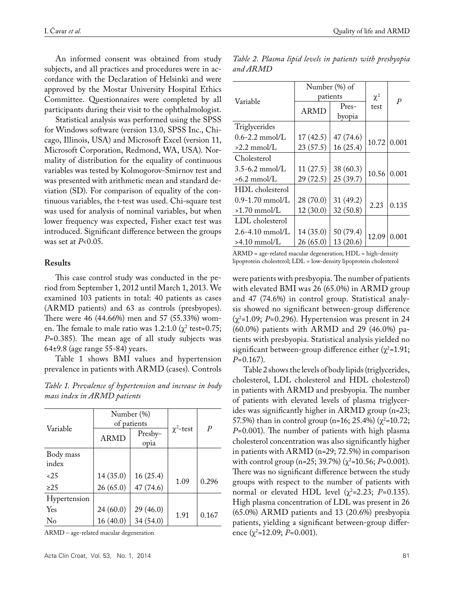An informed consent was obtained from study subjects, and all practices and procedures were in accordance with the Declaration of Helsinki and were approved by the Mostar University Hospital Ethics Committee. Questionnaires were completed by all participants during their visit to the ophthalmologist.

Statistical analysis was performed using the SPSS for Windows software (version 13.0, SPSS Inc., Chicago, Illinois, USA) and Microsoft Excel (version 11, Microsoft Corporation, Redmond, WA, USA). Normality of distribution for the equality of continuous variables was tested by Kolmogorov-Smirnov test and was presented with arithmetic mean and standard deviation (SD). For comparison of equality of the continuous variables, the t-test was used. Chi-square test was used for analysis of nominal variables, but when lower frequency was expected, Fisher exact test was introduced. Significant difference between the groups was set at *P*<0.05.

### **Results**

This case control study was conducted in the period from September 1, 2012 until March 1, 2013. We examined 103 patients in total: 40 patients as cases (ARMD patients) and 63 as controls (presbyopes). There were 46 (44.66%) men and 57 (55.33%) women. The female to male ratio was  $1.2:1.0$  ( $\chi^2$  test=0.75; *P*=0.385). The mean age of all study subjects was 64±9.8 (age range 55-84) years.

Table 1 shows BMI values and hypertension prevalence in patients with ARMD (cases). Controls

*Table 1. Prevalence of hypertension and increase in body mass index in ARMD patients*

|                    |           | Number (%)<br>of patients | $\chi^2$ -test | $\boldsymbol{P}$ |
|--------------------|-----------|---------------------------|----------------|------------------|
| Variable           | ARMD      | Presby-<br>opia           |                |                  |
| Body mass<br>index |           |                           |                |                  |
| 25                 | 14(35.0)  | 16(25.4)                  | 1.09           | 0.296            |
| >25                | 26(65.0)  | 47 (74.6)                 |                |                  |
| Hypertension       |           |                           |                |                  |
| Yes                | 24 (60.0) | 29 (46.0)                 | 1.91           | 0.167            |
| No                 | 16(40.0)  | 34 (54.0)                 |                |                  |

ARMD – age-related macular degeneration

*Table 2. Plasma lipid levels in patients with presbyopia and ARMD*

|                        | Number (%) of |           |                  |       |
|------------------------|---------------|-----------|------------------|-------|
| Variable               | patients      | $\chi^2$  | $\boldsymbol{P}$ |       |
|                        | <b>ARMD</b>   | Pres-     | test             |       |
|                        |               | byopia    |                  |       |
| Triglycerides          |               |           |                  |       |
| $0.6 - 2.2$ mmol/L     | 17(42.5)      | 47 (74.6) | 10.72            | 0.001 |
| $>2.2$ mmol/L          | 23 (57.5)     | 16(25.4)  |                  |       |
| Cholesterol            |               |           |                  |       |
| $3.5 - 6.2$ mmol/L     | 11(27.5)      | 38 (60.3) | 10.56            | 0.001 |
| $>6.2$ mmol/L          | 29 (72.5)     | 25 (39.7) |                  |       |
| HDL cholesterol        |               |           |                  |       |
| $0.9 - 1.70$ mmol/L    | 28(70.0)      | 31 (49.2) | 2.23             | 0.135 |
| $>1.70$ mmol/L         | 12(30.0)      | 32(50.8)  |                  |       |
| LDL cholesterol        |               |           |                  |       |
| $2.6 - 4.10$ mmol/L    | 14(35.0)      | 50 (79.4) | 12.09            |       |
| $>4.10 \text{ mmol/L}$ | 26(65.0)      | 13(20.6)  |                  | 0.001 |

ARMD = age-related macular degeneration; HDL = high-density lipoprotein cholesterol; LDL = low-density lipoprotein cholesterol

were patients with presbyopia. The number of patients with elevated BMI was 26 (65.0%) in ARMD group and 47 (74.6%) in control group. Statistical analysis showed no significant between-group difference (χ2 =1.09; *P*=0.296). Hypertension was present in 24 (60.0%) patients with ARMD and 29 (46.0%) patients with presbyopia. Statistical analysis yielded no significant between-group difference either  $(\chi^2=1.91;$ *P*=0.167).

Table 2 shows the levels of body lipids (triglycerides, cholesterol, LDL cholesterol and HDL cholesterol) in patients with ARMD and presbyopia. The number of patients with elevated levels of plasma triglycerides was significantly higher in ARMD group (n=23; 57.5%) than in control group (n=16; 25.4%) ( $\chi^2$ =10.72; *P*=0.001). The number of patients with high plasma cholesterol concentration was also significantly higher in patients with ARMD (n=29; 72.5%) in comparison with control group (n=25; 39.7%) (χ<sup>2</sup>=10.56; *P*=0.001). There was no significant difference between the study groups with respect to the number of patients with normal or elevated HDL level  $(\chi^2=2.23; P=0.135)$ . High plasma concentration of LDL was present in 26 (65.0%) ARMD patients and 13 (20.6%) presbyopia patients, yielding a significant between-group difference (χ<sup>2</sup>=12.09; *P*=0.001).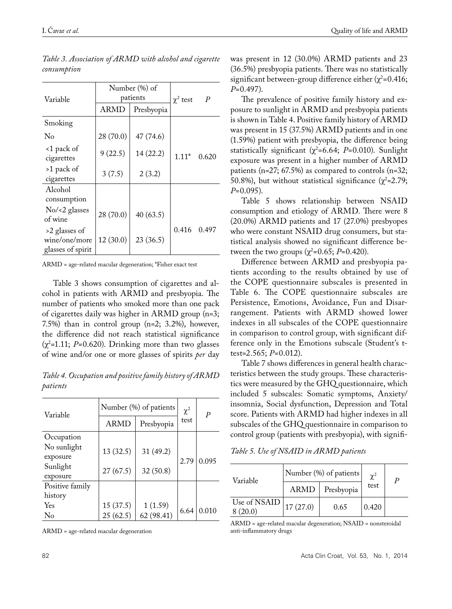| Variable                                            | Number (%) of<br>patients |            | $\chi^2$ test | $\overline{P}$ |
|-----------------------------------------------------|---------------------------|------------|---------------|----------------|
|                                                     | ARMD                      | Presbyopia |               |                |
| Smoking                                             |                           |            |               |                |
| No                                                  | 28 (70.0)                 | 47 (74.6)  |               |                |
| <1 pack of<br>cigarettes                            | 9(22.5)                   | 14 (22.2)  | $1.11*$       | 0.620          |
| >1 pack of<br>cigarettes                            | 3(7.5)                    | 2(3.2)     |               |                |
| Alcohol<br>consumption                              |                           |            |               |                |
| $No \leq 2$ glasses<br>of wine                      | 28 (70.0)                 | 40(63.5)   |               |                |
| >2 glasses of<br>wine/one/more<br>glasses of spirit | 12(30.0)                  | 23(36.5)   | 0.416         | 0.497          |

*Table 3. Association of ARMD with alcohol and cigarette consumption*

ARMD = age-related macular degeneration; \*Fisher exact test

Table 3 shows consumption of cigarettes and alcohol in patients with ARMD and presbyopia. The number of patients who smoked more than one pack of cigarettes daily was higher in ARMD group (n=3; 7.5%) than in control group (n=2; 3.2%), however, the difference did not reach statistical significance  $(\chi^2=1.11; P=0.620)$ . Drinking more than two glasses of wine and/or one or more glasses of spirits *per* day

*Table 4. Occupation and positive family history of ARMD patients*

| Variable                | Number (%) of patients |            | $\chi^2$ | P     |
|-------------------------|------------------------|------------|----------|-------|
|                         | ARMD                   | Presbyopia | test     |       |
| Occupation              |                        |            |          |       |
| No sunlight<br>exposure | 13(32.5)               | 31(49.2)   | 2.79     | 0.095 |
| Sunlight<br>exposure    | 27(67.5)               | 32(50.8)   |          |       |
| Positive family         |                        |            |          |       |
| history                 |                        |            |          |       |
| Yes                     | 15(37.5)               | 1(1.59)    | 6.64     | 0.010 |
| No                      | 25(62.5)               | 62 (98.41) |          |       |

ARMD = age-related macular degeneration

was present in 12 (30.0%) ARMD patients and 23 (36.5%) presbyopia patients. There was no statistically significant between-group difference either  $(\chi^2=0.416;$ *P*=0.497).

The prevalence of positive family history and exposure to sunlight in ARMD and presbyopia patients is shown in Table 4. Positive family history of ARMD was present in 15 (37.5%) ARMD patients and in one (1.59%) patient with presbyopia, the difference being statistically significant ( $\chi^2$ =6.64; *P*=0.010). Sunlight exposure was present in a higher number of ARMD patients (n=27; 67.5%) as compared to controls (n=32; 50.8%), but without statistical significance  $(\chi^2=2.79;$ *P*=0.095).

Table 5 shows relationship between NSAID consumption and etiology of ARMD. There were 8 (20.0%) ARMD patients and 17 (27.0%) presbyopes who were constant NSAID drug consumers, but statistical analysis showed no significant difference between the two groups ( $\chi^2$ =0.65; *P*=0.420).

Difference between ARMD and presbyopia patients according to the results obtained by use of the COPE questionnaire subscales is presented in Table 6. The COPE questionnaire subscales are Persistence, Emotions, Avoidance, Fun and Disarrangement. Patients with ARMD showed lower indexes in all subscales of the COPE questionnaire in comparison to control group, with significant difference only in the Emotions subscale (Student's ttest=2.565; *P*=0.012).

Table 7 shows differences in general health characteristics between the study groups. These characteristics were measured by the GHQ questionnaire, which included 5 subscales: Somatic symptoms, Anxiety/ insomnia, Social dysfunction, Depression and Total score. Patients with ARMD had higher indexes in all subscales of the GHQ questionnaire in comparison to control group (patients with presbyopia), with signifi-

*Table 5. Use of NSAID in ARMD patients*

| Variable                 | Number (%) of patients |            | $\chi^2$ | P |
|--------------------------|------------------------|------------|----------|---|
|                          | <b>ARMD</b>            | Presbyopia | test     |   |
| Use of NSAID<br>8 (20.0) | 17(27.0)               | 0.65       | 0.420    |   |

ARMD = age-related macular degeneration; NSAID = nonsteroidal anti-inflammatory drugs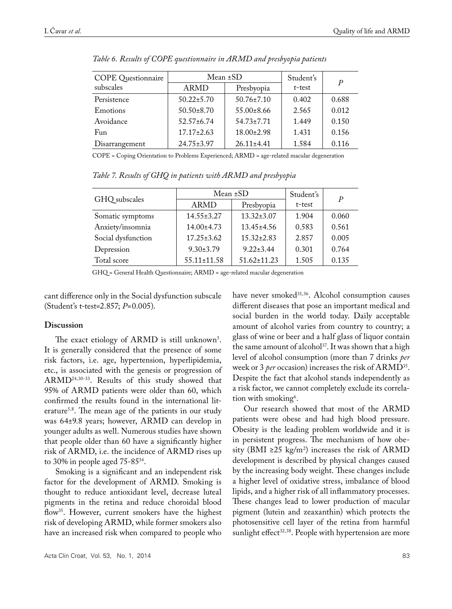| <b>COPE</b> Questionnaire | Mean ±SD         |                  | Student's | P     |
|---------------------------|------------------|------------------|-----------|-------|
| subscales                 | ARMD             | Presbyopia       | t-test    |       |
| Persistence               | $50.22 \pm 5.70$ | $50.76 \pm 7.10$ | 0.402     | 0.688 |
| Emotions                  | $50.50 \pm 8.70$ | $55.00 \pm 8.66$ | 2.565     | 0.012 |
| Avoidance                 | $52.57 \pm 6.74$ | $54.73 \pm 7.71$ | 1.449     | 0.150 |
| Fun                       | $17.17 \pm 2.63$ | $18.00 \pm 2.98$ | 1.431     | 0.156 |
| Disarrangement            | $24.75 \pm 3.97$ | $26.11 \pm 4.41$ | 1.584     | 0.116 |

*Table 6. Results of COPE questionnaire in ARMD and presbyopia patients*

COPE = Coping Orientation to Problems Experienced; ARMD = age-related macular degeneration

GHQ subscales Mean ±SD Student's<br>ARMD Presbyopia t-test t-test  $\frac{P}{P}$   $\frac{P}{P}$   $\frac{P}{P}$   $\frac{P}{P}$ Somatic symptoms 14.55±3.27 13.32±3.07 1.904 0.060 Anxiety/insomnia 14.00±4.73 13.45±4.56 0.583 0.561

Social dysfunction 17.25±3.62 15.32±2.83 2.857 0.005 Depression 9.30±3.79 9.22±3.44 0.301 0.764 Total score  $55.11 \pm 11.58$   $51.62 \pm 11.23$  1.505 0.135

GHQ = General Health Questionnaire; ARMD = age-related macular degeneration

cant difference only in the Social dysfunction subscale (Student's t-test=2.857; *P*=0.005).

## **Discussion**

The exact etiology of ARMD is still unknown<sup>5</sup>. It is generally considered that the presence of some risk factors, i.e. age, hypertension, hyperlipidemia, etc., is associated with the genesis or progression of ARMD24,30-33. Results of this study showed that 95% of ARMD patients were older than 60, which confirmed the results found in the international literature5,8. The mean age of the patients in our study was 64±9.8 years; however, ARMD can develop in younger adults as well. Numerous studies have shown that people older than 60 have a significantly higher risk of ARMD, i.e. the incidence of ARMD rises up to 30% in people aged 75-8534.

Smoking is a significant and an independent risk factor for the development of ARMD. Smoking is thought to reduce antioxidant level, decrease luteal pigments in the retina and reduce choroidal blood flow<sup>35</sup>. However, current smokers have the highest risk of developing ARMD, while former smokers also have an increased risk when compared to people who

have never smoked<sup>31,36</sup>. Alcohol consumption causes different diseases that pose an important medical and social burden in the world today. Daily acceptable amount of alcohol varies from country to country; a glass of wine or beer and a half glass of liquor contain the same amount of alcohol<sup>37</sup>. It was shown that a high level of alcohol consumption (more than 7 drinks *per*  week or 3 *per* occasion) increases the risk of ARMD35. Despite the fact that alcohol stands independently as a risk factor, we cannot completely exclude its correlation with smoking<sup>6</sup>.

Our research showed that most of the ARMD patients were obese and had high blood pressure. Obesity is the leading problem worldwide and it is in persistent progress. The mechanism of how obesity (BMI ≥25 kg/m<sup>2</sup>) increases the risk of ARMD development is described by physical changes caused by the increasing body weight. These changes include a higher level of oxidative stress, imbalance of blood lipids, and a higher risk of all inflammatory processes. These changes lead to lower production of macular pigment (lutein and zeaxanthin) which protects the photosensitive cell layer of the retina from harmful sunlight effect<sup>32,38</sup>. People with hypertension are more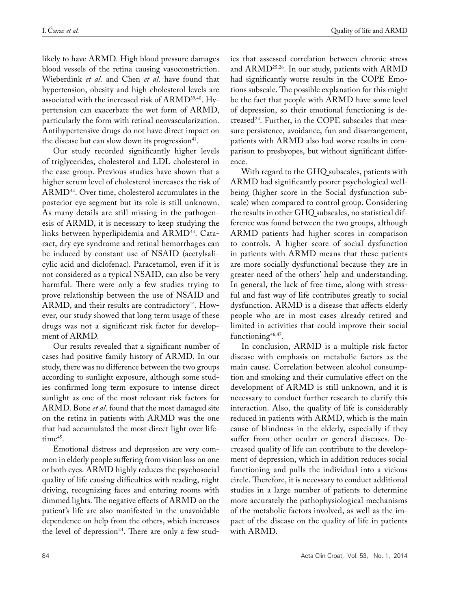likely to have ARMD. High blood pressure damages blood vessels of the retina causing vasoconstriction. Wieberdink *et al*. and Chen *et al*. have found that hypertension, obesity and high cholesterol levels are associated with the increased risk of ARMD39,40. Hypertension can exacerbate the wet form of ARMD, particularly the form with retinal neovascularization. Antihypertensive drugs do not have direct impact on the disease but can slow down its progression $41$ .

Our study recorded significantly higher levels of triglycerides, cholesterol and LDL cholesterol in the case group. Previous studies have shown that a higher serum level of cholesterol increases the risk of ARMD42. Over time, cholesterol accumulates in the posterior eye segment but its role is still unknown. As many details are still missing in the pathogenesis of ARMD, it is necessary to keep studying the links between hyperlipidemia and ARMD<sup>43</sup>. Cataract, dry eye syndrome and retinal hemorrhages can be induced by constant use of NSAID (acetylsalicylic acid and diclofenac). Paracetamol, even if it is not considered as a typical NSAID, can also be very harmful. There were only a few studies trying to prove relationship between the use of NSAID and  $ARMD$ , and their results are contradictory<sup>44</sup>. However, our study showed that long term usage of these drugs was not a significant risk factor for development of ARMD.

Our results revealed that a significant number of cases had positive family history of ARMD. In our study, there was no difference between the two groups according to sunlight exposure, although some studies confirmed long term exposure to intense direct sunlight as one of the most relevant risk factors for ARMD. Bone *et al*. found that the most damaged site on the retina in patients with ARMD was the one that had accumulated the most direct light over lifetime<sup>45</sup>.

Emotional distress and depression are very common in elderly people suffering from vision loss on one or both eyes. ARMD highly reduces the psychosocial quality of life causing difficulties with reading, night driving, recognizing faces and entering rooms with dimmed lights. The negative effects of ARMD on the patient's life are also manifested in the unavoidable dependence on help from the others, which increases the level of depression<sup>24</sup>. There are only a few studies that assessed correlation between chronic stress and ARMD<sup>25,26</sup>. In our study, patients with ARMD had significantly worse results in the COPE Emotions subscale. The possible explanation for this might be the fact that people with ARMD have some level of depression, so their emotional functioning is decreased<sup>24</sup>. Further, in the COPE subscales that measure persistence, avoidance, fun and disarrangement, patients with ARMD also had worse results in comparison to presbyopes, but without significant difference.

With regard to the GHQ subscales, patients with ARMD had significantly poorer psychological wellbeing (higher score in the Social dysfunction subscale) when compared to control group. Considering the results in other GHQ subscales, no statistical difference was found between the two groups, although ARMD patients had higher scores in comparison to controls. A higher score of social dysfunction in patients with ARMD means that these patients are more socially dysfunctional because they are in greater need of the others' help and understanding. In general, the lack of free time, along with stressful and fast way of life contributes greatly to social dysfunction. ARMD is a disease that affects elderly people who are in most cases already retired and limited in activities that could improve their social functioning<sup>46,47</sup>.

In conclusion, ARMD is a multiple risk factor disease with emphasis on metabolic factors as the main cause. Correlation between alcohol consumption and smoking and their cumulative effect on the development of ARMD is still unknown, and it is necessary to conduct further research to clarify this interaction. Also, the quality of life is considerably reduced in patients with ARMD, which is the main cause of blindness in the elderly, especially if they suffer from other ocular or general diseases. Decreased quality of life can contribute to the development of depression, which in addition reduces social functioning and pulls the individual into a vicious circle. Therefore, it is necessary to conduct additional studies in a large number of patients to determine more accurately the pathophysiological mechanisms of the metabolic factors involved, as well as the impact of the disease on the quality of life in patients with ARMD.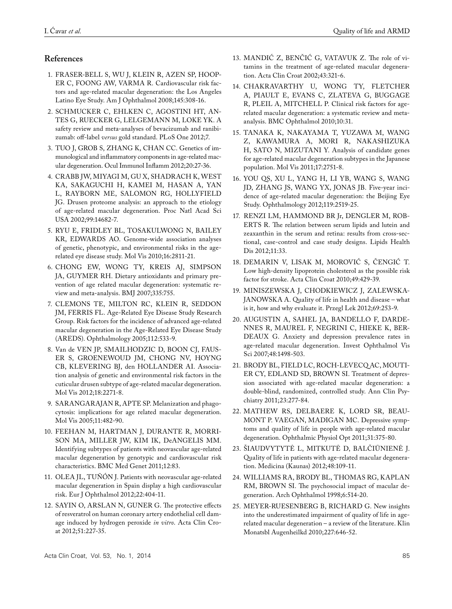# **References**

- 1. FRASER-BELL S, WU J, KLEIN R, AZEN SP, HOOP-ER C, FOONG AW, VARMA R. Cardiovascular risk factors and age-related macular degeneration: the Los Angeles Latino Eye Study. Am J Ophthalmol 2008;145:308-16.
- 2. SCHMUCKER C, EHLKEN C, AGOSTINI HT, AN-TES G, RUECKER G, LELGEMANN M, LOKE YK. A safety review and meta-analyses of bevacizumab and ranibizumab: off-label *versus* gold standard. PLoS One 2012;7.
- 3. TUO J, GROB S, ZHANG K, CHAN CC. Genetics of immunological and inflammatory components in age-related macular degeneration. Ocul Immunol Inflamm 2012;20:27-36.
- 4. CRABB JW, MIYAGI M, GU X, SHADRACH K, WEST KA, SAKAGUCHI H, KAMEI M, HASAN A, YAN L, RAYBORN ME, SALOMON RG, HOLLYFIELD JG. Drusen proteome analysis: an approach to the etiology of age-related macular degeneration. Proc Natl Acad Sci USA 2002;99:14682-7.
- 5. RYU E, FRIDLEY BL, TOSAKULWONG N, BAILEY KR, EDWARDS AO. Genome-wide association analyses of genetic, phenotypic, and environmental risks in the agerelated eye disease study. Mol Vis 2010;16:2811-21.
- 6. CHONG EW, WONG TY, KREIS AJ, SIMPSON JA, GUYMER RH. Dietary antioxidants and primary prevention of age related macular degeneration: systematic review and meta-analysis. BMJ 2007;335:755.
- 7. CLEMONS TE, MILTON RC, KLEIN R, SEDDON JM, FERRIS FL. Age-Related Eye Disease Study Research Group. Risk factors for the incidence of advanced age-related macular degeneration in the Age-Related Eye Disease Study (AREDS). Ophthalmology 2005;112:533-9.
- 8. Van de VEN JP, SMAILHODZIC D, BOON CJ, FAUS-ER S, GROENEWOUD JM, CHONG NV, HOYNG CB, KLEVERING BJ, den HOLLANDER AI. Association analysis of genetic and environmental risk factors in the cuticular drusen subtype of age-related macular degeneration. Mol Vis 2012;18:2271-8.
- 9. SARANGARAJAN R, APTE SP. Melanization and phagocytosis: implications for age related macular degeneration. Mol Vis 2005;11:482-90.
- 10. FEEHAN M, HARTMAN J, DURANTE R, MORRI-SON MA, MILLER JW, KIM IK, DeANGELIS MM. Identifying subtypes of patients with neovascular age-related macular degeneration by genotypic and cardiovascular risk characteristics. BMC Med Genet 2011;12:83.
- 11. OLEA JL, TUÑÓN J. Patients with neovascular age-related macular degeneration in Spain display a high cardiovascular risk. Eur J Ophthalmol 2012;22:404-11.
- 12. SAYIN O, ARSLAN N, GUNER G. The protective effects of resveratrol on human coronary artery endothelial cell damage induced by hydrogen peroxide *in vitro*. Acta Clin Croat 2012;51:227-35.
- 13. MANDIĆ Z, BENČIĆ G, VATAVUK Z. The role of vitamins in the treatment of age-related macular degeneration. Acta Clin Croat 2002;43:321-6.
- 14. CHAKRAVARTHY U, WONG TY, FLETCHER A, PIAULT E, EVANS C, ZLATEVA G, BUGGAGE R, PLEIL A, MITCHELL P. Clinical risk factors for agerelated macular degeneration: a systematic review and metaanalysis. BMC Ophthalmol 2010;10:31.
- 15. TANAKA K, NAKAYAMA T, YUZAWA M, WANG Z, KAWAMURA A, MORI R, NAKASHIZUKA H, SATO N, MIZUTANI Y. Analysis of candidate genes for age-related macular degeneration subtypes in the Japanese population. Mol Vis 2011;17:2751-8.
- 16. YOU QS, XU L, YANG H, LI YB, WANG S, WANG JD, ZHANG JS, WANG YX, JONAS JB. Five-year incidence of age-related macular degeneration: the Beijing Eye Study. Ophthalmology 2012;119:2519-25.
- 17. RENZI LM, HAMMOND BR Jr, DENGLER M, ROB-ERTS R. The relation between serum lipids and lutein and zeaxanthin in the serum and retina: results from cross-sectional, case-control and case study designs. Lipids Health Dis 2012;11:33.
- 18. DEMARIN V, LISAK M, MOROVIĆ S, ČENGIĆ T. Low high-density lipoprotein cholesterol as the possible risk factor for stroke. Acta Clin Croat 2010;49:429-39.
- 19. MINISZEWSKA J, CHODKIEWICZ J, ZALEWSKA-JANOWSKA A. Quality of life in health and disease – what is it, how and why evaluate it. Przegl Lek 2012;69:253-9.
- 20. AUGUSTIN A, SAHEL JA, BANDELLO F, DARDE-NNES R, MAUREL F, NEGRINI C, HIEKE K, BER-DEAUX G. Anxiety and depression prevalence rates in age-related macular degeneration. Invest Ophthalmol Vis Sci 2007;48:1498-503.
- 21. BRODY BL, FIELD LC, ROCH-LEVECQ AC, MOUTI-ER CY, EDLAND SD, BROWN SI. Treatment of depression associated with age-related macular degeneration: a double-blind, randomized, controlled study. Ann Clin Psychiatry 2011;23:277-84.
- 22. MATHEW RS, DELBAERE K, LORD SR, BEAU-MONT P. VAEGAN, MADIGAN MC. Depressive symptoms and quality of life in people with age-related macular degeneration. Ophthalmic Physiol Opt 2011;31:375-80.
- 23. ŠIAUDVYTYTĖ L, MITKUTĖ D, BALČIŪNIENĖ J. Quality of life in patients with age-related macular degeneration. Medicina (Kaunas) 2012;48:109-11.
- 24. WILLIAMS RA, BRODY BL, THOMAS RG, KAPLAN RM, BROWN SI. The psychosocial impact of macular degeneration. Arch Ophthalmol 1998;6:514-20.
- 25. MEYER-RUESENBERG B, RICHARD G. New insights into the underestimated impairment of quality of life in agerelated macular degeneration – a review of the literature. Klin Monatsbl Augenheilkd 2010;227:646-52.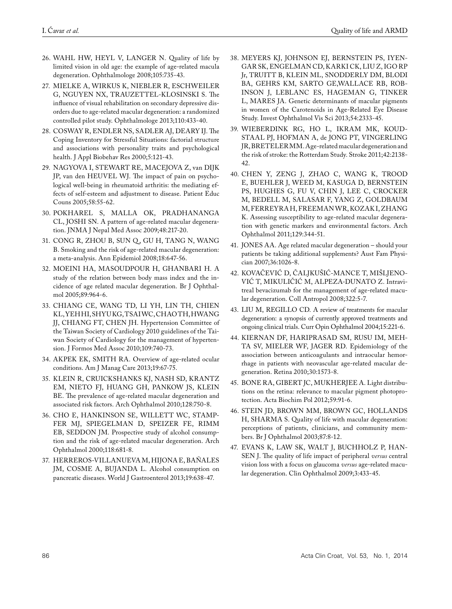- 26. WAHL HW, HEYL V, LANGER N. Quality of life by limited vision in old age: the example of age-related macula degeneration. Ophthalmologe 2008;105:735-43.
- 27. MIELKE A, WIRKUS K, NIEBLER R, ESCHWEILER G, NGUYEN NX, TRAUZETTEL-KLOSINSKI S. The influence of visual rehabilitation on secondary depressive disorders due to age-related macular degeneration: a randomized controlled pilot study. Ophthalmologe 2013;110:433-40.
- 28. COSWAY R, ENDLER NS, SADLER AJ, DEARY IJ. The Coping Inventory for Stressful Situations: factorial structure and associations with personality traits and psychological health. J Appl Biobehav Res 2000;5:121-43.
- 29. NAGYOVA I, STEWART RE, MACEJOVA Z, van DIJK JP, van den HEUVEL WJ. The impact of pain on psychological well-being in rheumatoid arthritis: the mediating effects of self-esteem and adjustment to disease. Patient Educ Couns 2005;58:55-62.
- 30. POKHAREL S, MALLA OK, PRADHANANGA CL, JOSHI SN. A pattern of age-related macular degeneration. JNMA J Nepal Med Assoc 2009;48:217-20.
- 31. CONG R, ZHOU B, SUN Q , GU H, TANG N, WANG B. Smoking and the risk of age-related macular degeneration: a meta-analysis. Ann Epidemiol 2008;18:647-56.
- 32. MOEINI HA, MASOUDPOUR H, GHANBARI H. A study of the relation between body mass index and the incidence of age related macular degeneration. Br J Ophthalmol 2005;89:964-6.
- 33. CHIANG CE, WANG TD, LI YH, LIN TH, CHIEN KL,YEH HI,SHYU KG,TSAI WC,CHAO TH,HWANG JJ, CHIANG FT, CHEN JH. Hypertension Committee of the Taiwan Society of Cardiology 2010 guidelines of the Taiwan Society of Cardiology for the management of hypertension. J Formos Med Assoc 2010;109:740-73.
- 34. AKPEK EK, SMITH RA. Overview of age-related ocular conditions. Am J Manag Care 2013;19:67-75.
- 35. KLEIN R, CRUICKSHANKS KJ, NASH SD, KRANTZ EM, NIETO FJ, HUANG GH, PANKOW JS, KLEIN BE. The prevalence of age-related macular degeneration and associated risk factors. Arch Ophthalmol 2010;128:750-8.
- 36. CHO E, HANKINSON SE, WILLETT WC, STAMP-FER MJ, SPIEGELMAN D, SPEIZER FE, RIMM EB, SEDDON JM. Prospective study of alcohol consumption and the risk of age-related macular degeneration. Arch Ophthalmol 2000;118:681-8.
- 37. HERREROS-VILLANUEVA M, HIJONA E, BAÑALES JM, COSME A, BUJANDA L. Alcohol consumption on pancreatic diseases. World J Gastroenterol 2013;19:638-47.
- 38. MEYERS KJ, JOHNSON EJ, BERNSTEIN PS, IYEN-GAR SK, ENGELMAN CD, KARKI CK, LIU Z, IGO RP Jr, TRUITT B, KLEIN ML, SNODDERLY DM, BLODI BA, GEHRS KM, SARTO GE,WALLACE RB, ROB-INSON J, LEBLANC ES, HAGEMAN G, TINKER L, MARES JA. Genetic determinants of macular pigments in women of the Carotenoids in Age-Related Eye Disease Study. Invest Ophthalmol Vis Sci 2013;54:2333-45.
- 39. WIEBERDINK RG, HO L, IKRAM MK, KOUD-STAAL PJ, HOFMAN A, de JONG PT, VINGERLING JR,BRETELER MM. Age-related macular degeneration and the risk of stroke: the Rotterdam Study. Stroke 2011;42:2138- 42.
- 40. CHEN Y, ZENG J, ZHAO C, WANG K, TROOD E, BUEHLER J, WEED M, KASUGA D, BERNSTEIN PS, HUGHES G, FU V, CHIN J, LEE C, CROCKER M, BEDELL M, SALASAR F, YANG Z, GOLDBAUM M, FERREYRA H, FREEMAN WR, KOZAK I, ZHANG K. Assessing susceptibility to age-related macular degeneration with genetic markers and environmental factors. Arch Ophthalmol 2011;129:344-51.
- 41. JONES AA. Age related macular degeneration should your patients be taking additional supplements? Aust Fam Physician 2007;36:1026-8.
- 42. KOVAČEVIĆ D, ČALJKUŠIĆ-MANCE T, MIŠLJENO-VIĆ T, MIKULIČIĆ M, ALPEZA-DUNATO Z. Intravitreal bevacizumab for the management of age-related macular degeneration. Coll Antropol 2008;322:5-7.
- 43. LIU M, REGILLO CD. A review of treatments for macular degeneration: a synopsis of currently approved treatments and ongoing clinical trials. Curr Opin Ophthalmol 2004;15:221-6.
- 44. KIERNAN DF, HARIPRASAD SM, RUSU IM, MEH-TA SV, MIELER WF, JAGER RD. Epidemiology of the association between anticoagulants and intraocular hemorrhage in patients with neovascular age-related macular degeneration. Retina 2010;30:1573-8.
- 45. BONE RA, GIBERT JC, MUKHERJEE A. Light distributions on the retina: relevance to macular pigment photoprotection. Acta Biochim Pol 2012;59:91-6.
- 46. STEIN JD, BROWN MM, BROWN GC, HOLLANDS H, SHARMA S. Quality of life with macular degeneration: perceptions of patients, clinicians, and community members. Br J Ophthalmol 2003;87:8-12.
- 47. EVANS K, LAW SK, WALT J, BUCHHOLZ P, HAN-SEN J. The quality of life impact of peripheral *versus* central vision loss with a focus on glaucoma *versus* age-related macular degeneration. Clin Ophthalmol 2009;3:433-45.